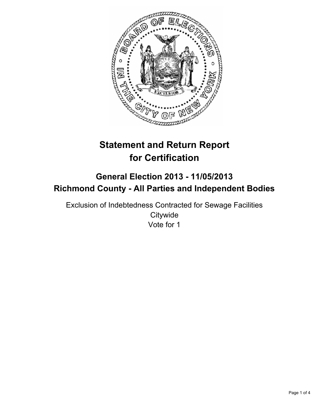

# **Statement and Return Report for Certification**

## **General Election 2013 - 11/05/2013 Richmond County - All Parties and Independent Bodies**

Exclusion of Indebtedness Contracted for Sewage Facilities **Citywide** Vote for 1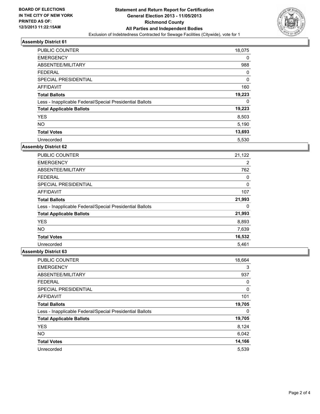

#### **Assembly District 61**

| <b>PUBLIC COUNTER</b>                                    | 18,075 |
|----------------------------------------------------------|--------|
| <b>EMERGENCY</b>                                         | 0      |
| ABSENTEE/MILITARY                                        | 988    |
| <b>FEDERAL</b>                                           | 0      |
| SPECIAL PRESIDENTIAL                                     | 0      |
| AFFIDAVIT                                                | 160    |
| <b>Total Ballots</b>                                     | 19,223 |
| Less - Inapplicable Federal/Special Presidential Ballots | 0      |
| <b>Total Applicable Ballots</b>                          | 19,223 |
| <b>YES</b>                                               | 8,503  |
| <b>NO</b>                                                | 5,190  |
| <b>Total Votes</b>                                       | 13,693 |
| Unrecorded                                               | 5,530  |

### **Assembly District 62**

| PUBLIC COUNTER                                           | 21,122 |
|----------------------------------------------------------|--------|
| <b>EMERGENCY</b>                                         | 2      |
| ABSENTEE/MILITARY                                        | 762    |
| <b>FEDERAL</b>                                           | 0      |
| <b>SPECIAL PRESIDENTIAL</b>                              | 0      |
| AFFIDAVIT                                                | 107    |
| <b>Total Ballots</b>                                     | 21,993 |
| Less - Inapplicable Federal/Special Presidential Ballots | 0      |
| <b>Total Applicable Ballots</b>                          | 21,993 |
| <b>YES</b>                                               | 8,893  |
| <b>NO</b>                                                | 7,639  |
| <b>Total Votes</b>                                       | 16,532 |
| Unrecorded                                               | 5.461  |

### **Assembly District 63**

| PUBLIC COUNTER                                           | 18,664 |
|----------------------------------------------------------|--------|
| <b>EMERGENCY</b>                                         | 3      |
| ABSENTEE/MILITARY                                        | 937    |
| <b>FEDERAL</b>                                           | 0      |
| SPECIAL PRESIDENTIAL                                     | 0      |
| AFFIDAVIT                                                | 101    |
| <b>Total Ballots</b>                                     | 19,705 |
| Less - Inapplicable Federal/Special Presidential Ballots | 0      |
| <b>Total Applicable Ballots</b>                          | 19,705 |
| <b>YES</b>                                               | 8,124  |
| <b>NO</b>                                                | 6,042  |
| <b>Total Votes</b>                                       | 14,166 |
| Unrecorded                                               | 5,539  |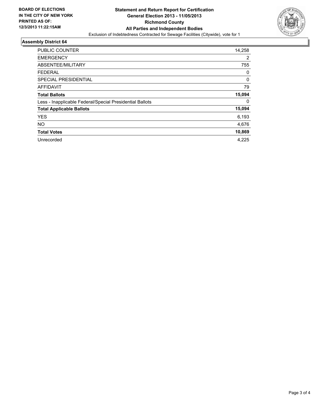

### **Assembly District 64**

| <b>PUBLIC COUNTER</b>                                    | 14,258 |
|----------------------------------------------------------|--------|
| <b>EMERGENCY</b>                                         | 2      |
| ABSENTEE/MILITARY                                        | 755    |
| <b>FEDERAL</b>                                           | 0      |
| SPECIAL PRESIDENTIAL                                     | 0      |
| <b>AFFIDAVIT</b>                                         | 79     |
| <b>Total Ballots</b>                                     | 15,094 |
| Less - Inapplicable Federal/Special Presidential Ballots | 0      |
| <b>Total Applicable Ballots</b>                          | 15,094 |
| <b>YES</b>                                               | 6,193  |
| <b>NO</b>                                                | 4,676  |
| <b>Total Votes</b>                                       | 10,869 |
| Unrecorded                                               | 4,225  |